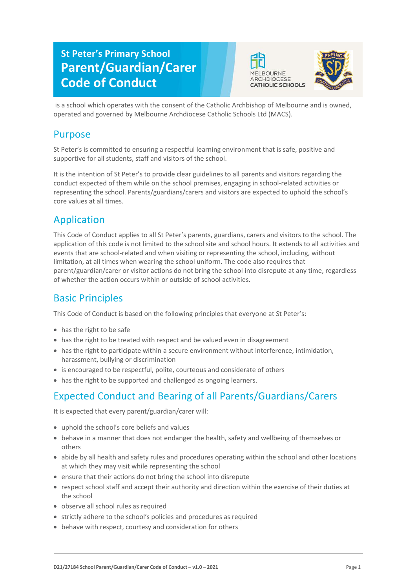# **St Peter's Primary School Parent/Guardian/Carer Code of Conduct**





is a school which operates with the consent of the Catholic Archbishop of Melbourne and is owned, operated and governed by Melbourne Archdiocese Catholic Schools Ltd (MACS).

### Purpose

St Peter's is committed to ensuring a respectful learning environment that is safe, positive and supportive for all students, staff and visitors of the school.

It is the intention of St Peter's to provide clear guidelines to all parents and visitors regarding the conduct expected of them while on the school premises, engaging in school-related activities or representing the school. Parents/guardians/carers and visitors are expected to uphold the school's core values at all times.

## Application

This Code of Conduct applies to all St Peter's parents, guardians, carers and visitors to the school. The application of this code is not limited to the school site and school hours. It extends to all activities and events that are school-related and when visiting or representing the school, including, without limitation, at all times when wearing the school uniform. The code also requires that parent/guardian/carer or visitor actions do not bring the school into disrepute at any time, regardless of whether the action occurs within or outside of school activities.

## Basic Principles

This Code of Conduct is based on the following principles that everyone at St Peter's:

- has the right to be safe
- has the right to be treated with respect and be valued even in disagreement
- has the right to participate within a secure environment without interference, intimidation, harassment, bullying or discrimination
- is encouraged to be respectful, polite, courteous and considerate of others
- has the right to be supported and challenged as ongoing learners.

# Expected Conduct and Bearing of all Parents/Guardians/Carers

It is expected that every parent/guardian/carer will:

- uphold the school's core beliefs and values
- behave in a manner that does not endanger the health, safety and wellbeing of themselves or others
- abide by all health and safety rules and procedures operating within the school and other locations at which they may visit while representing the school
- ensure that their actions do not bring the school into disrepute
- respect school staff and accept their authority and direction within the exercise of their duties at the school
- observe all school rules as required
- strictly adhere to the school's policies and procedures as required
- behave with respect, courtesy and consideration for others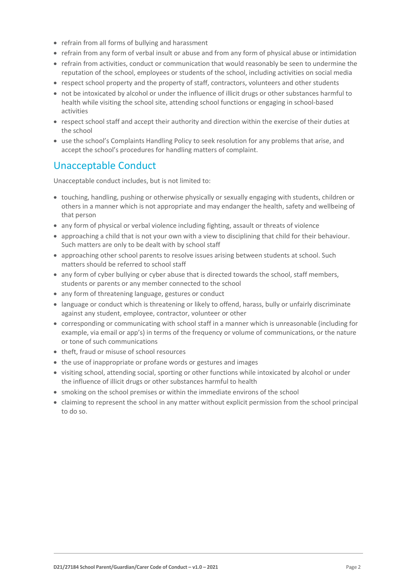- refrain from all forms of bullying and harassment
- refrain from any form of verbal insult or abuse and from any form of physical abuse or intimidation
- refrain from activities, conduct or communication that would reasonably be seen to undermine the reputation of the school, employees or students of the school, including activities on social media
- respect school property and the property of staff, contractors, volunteers and other students
- not be intoxicated by alcohol or under the influence of illicit drugs or other substances harmful to health while visiting the school site, attending school functions or engaging in school-based activities
- respect school staff and accept their authority and direction within the exercise of their duties at the school
- use the school's Complaints Handling Policy to seek resolution for any problems that arise, and accept the school's procedures for handling matters of complaint.

### Unacceptable Conduct

Unacceptable conduct includes, but is not limited to:

- touching, handling, pushing or otherwise physically or sexually engaging with students, children or others in a manner which is not appropriate and may endanger the health, safety and wellbeing of that person
- any form of physical or verbal violence including fighting, assault or threats of violence
- approaching a child that is not your own with a view to disciplining that child for their behaviour. Such matters are only to be dealt with by school staff
- approaching other school parents to resolve issues arising between students at school. Such matters should be referred to school staff
- any form of cyber bullying or cyber abuse that is directed towards the school, staff members, students or parents or any member connected to the school
- any form of threatening language, gestures or conduct
- language or conduct which is threatening or likely to offend, harass, bully or unfairly discriminate against any student, employee, contractor, volunteer or other
- corresponding or communicating with school staff in a manner which is unreasonable (including for example, via email or app's) in terms of the frequency or volume of communications, or the nature or tone of such communications
- theft, fraud or misuse of school resources
- the use of inappropriate or profane words or gestures and images
- visiting school, attending social, sporting or other functions while intoxicated by alcohol or under the influence of illicit drugs or other substances harmful to health
- smoking on the school premises or within the immediate environs of the school
- claiming to represent the school in any matter without explicit permission from the school principal to do so.